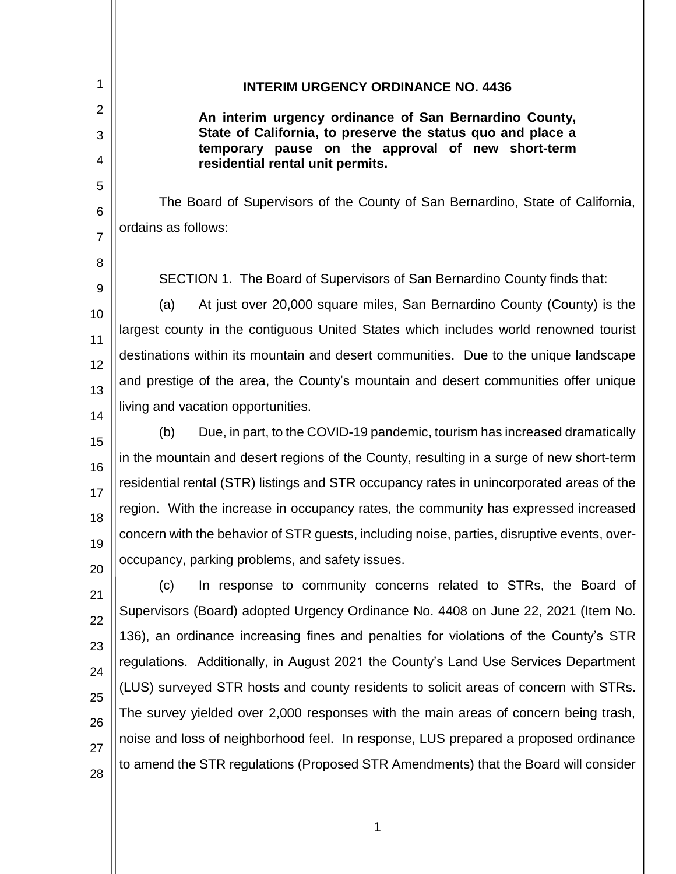| 1              | <b>INTERIM URGENCY ORDINANCE NO. 4436</b>                                                                        |
|----------------|------------------------------------------------------------------------------------------------------------------|
| $\overline{2}$ | An interim urgency ordinance of San Bernardino County,                                                           |
| 3              | State of California, to preserve the status quo and place a<br>temporary pause on the approval of new short-term |
| 4              | residential rental unit permits.                                                                                 |
| 5              |                                                                                                                  |
| 6              | The Board of Supervisors of the County of San Bernardino, State of California,                                   |
| $\overline{7}$ | ordains as follows:                                                                                              |
| 8              |                                                                                                                  |
| 9              | SECTION 1. The Board of Supervisors of San Bernardino County finds that:                                         |
| 10             | At just over 20,000 square miles, San Bernardino County (County) is the<br>(a)                                   |
| 11             | largest county in the contiguous United States which includes world renowned tourist                             |
| 12             | destinations within its mountain and desert communities. Due to the unique landscape                             |
| 13             | and prestige of the area, the County's mountain and desert communities offer unique                              |
| 14             | living and vacation opportunities.                                                                               |
| 15             | Due, in part, to the COVID-19 pandemic, tourism has increased dramatically<br>(b)                                |
| 16             | in the mountain and desert regions of the County, resulting in a surge of new short-term                         |
| 17             | residential rental (STR) listings and STR occupancy rates in unincorporated areas of the                         |
| 18             | region. With the increase in occupancy rates, the community has expressed increased                              |
| 19             | concern with the behavior of STR guests, including noise, parties, disruptive events, over-                      |
| 20             | occupancy, parking problems, and safety issues.                                                                  |
| 21             | In response to community concerns related to STRs, the Board of<br>(c)                                           |
| 22             | Supervisors (Board) adopted Urgency Ordinance No. 4408 on June 22, 2021 (Item No.                                |
| 23             | 136), an ordinance increasing fines and penalties for violations of the County's STR                             |
| 24             | regulations. Additionally, in August 2021 the County's Land Use Services Department                              |
|                | (LUS) surveyed STR hosts and county residents to solicit areas of concern with STRs.                             |
| 25             | The survey yielded over 2,000 responses with the main areas of concern being trash,                              |
| 26             | noise and loss of neighborhood feel. In response, LUS prepared a proposed ordinance                              |
| 27<br>28       | to amend the STR regulations (Proposed STR Amendments) that the Board will consider                              |
|                |                                                                                                                  |

 $\mathsf{II}$ 

1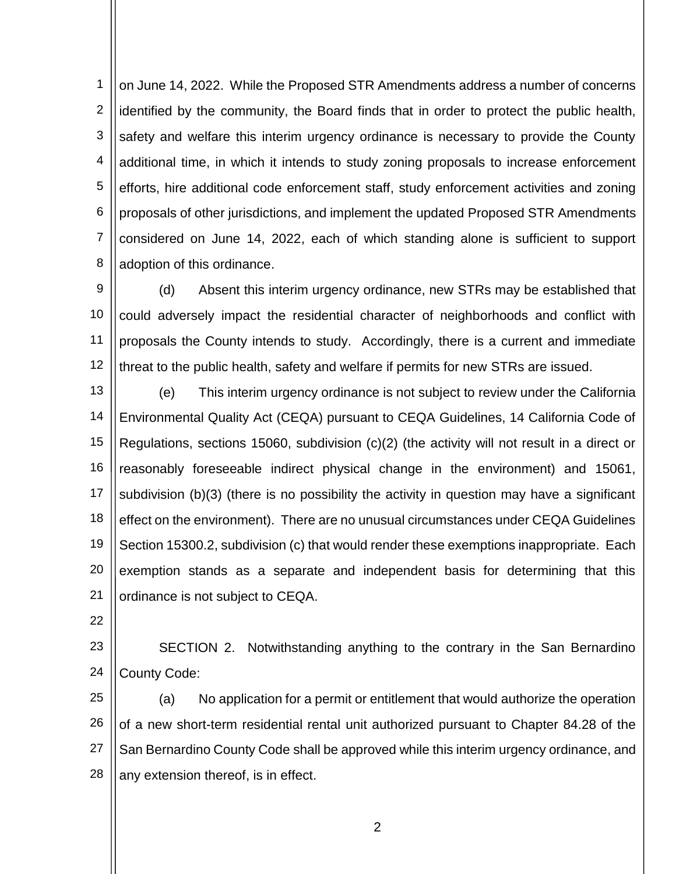1 2 3 4 5 6 7 8 on June 14, 2022. While the Proposed STR Amendments address a number of concerns identified by the community, the Board finds that in order to protect the public health, safety and welfare this interim urgency ordinance is necessary to provide the County additional time, in which it intends to study zoning proposals to increase enforcement efforts, hire additional code enforcement staff, study enforcement activities and zoning proposals of other jurisdictions, and implement the updated Proposed STR Amendments considered on June 14, 2022, each of which standing alone is sufficient to support adoption of this ordinance.

9 10 11 12 (d) Absent this interim urgency ordinance, new STRs may be established that could adversely impact the residential character of neighborhoods and conflict with proposals the County intends to study. Accordingly, there is a current and immediate threat to the public health, safety and welfare if permits for new STRs are issued.

13 14 15 16 17 18 19 20 21 (e) This interim urgency ordinance is not subject to review under the California Environmental Quality Act (CEQA) pursuant to CEQA Guidelines, 14 California Code of Regulations, sections 15060, subdivision (c)(2) (the activity will not result in a direct or reasonably foreseeable indirect physical change in the environment) and 15061, subdivision (b)(3) (there is no possibility the activity in question may have a significant effect on the environment). There are no unusual circumstances under CEQA Guidelines Section 15300.2, subdivision (c) that would render these exemptions inappropriate. Each exemption stands as a separate and independent basis for determining that this ordinance is not subject to CEQA.

22

23 24 SECTION 2. Notwithstanding anything to the contrary in the San Bernardino County Code:

25 26 27 28 (a) No application for a permit or entitlement that would authorize the operation of a new short-term residential rental unit authorized pursuant to Chapter 84.28 of the San Bernardino County Code shall be approved while this interim urgency ordinance, and any extension thereof, is in effect.

2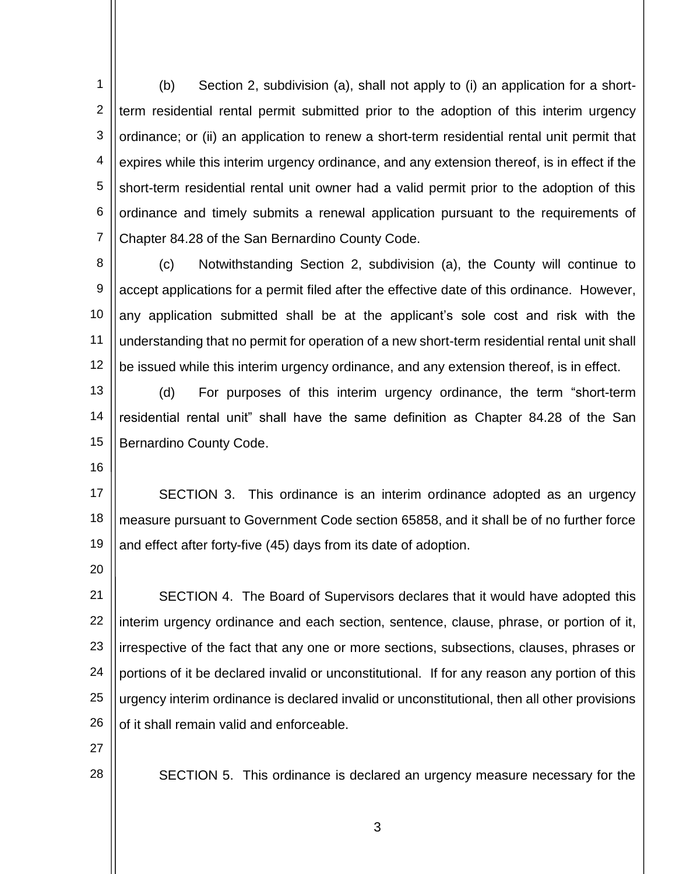1 2 3 4 5 6 7 (b) Section 2, subdivision (a), shall not apply to (i) an application for a shortterm residential rental permit submitted prior to the adoption of this interim urgency ordinance; or (ii) an application to renew a short-term residential rental unit permit that expires while this interim urgency ordinance, and any extension thereof, is in effect if the short-term residential rental unit owner had a valid permit prior to the adoption of this ordinance and timely submits a renewal application pursuant to the requirements of Chapter 84.28 of the San Bernardino County Code.

8 9 10 11 12 (c) Notwithstanding Section 2, subdivision (a), the County will continue to accept applications for a permit filed after the effective date of this ordinance. However, any application submitted shall be at the applicant's sole cost and risk with the understanding that no permit for operation of a new short-term residential rental unit shall be issued while this interim urgency ordinance, and any extension thereof, is in effect.

13 14 15 (d) For purposes of this interim urgency ordinance, the term "short-term residential rental unit" shall have the same definition as Chapter 84.28 of the San Bernardino County Code.

16

17 18 19 SECTION 3. This ordinance is an interim ordinance adopted as an urgency measure pursuant to Government Code section 65858, and it shall be of no further force and effect after forty-five (45) days from its date of adoption.

20

21 22 23 24 25 26 SECTION 4. The Board of Supervisors declares that it would have adopted this interim urgency ordinance and each section, sentence, clause, phrase, or portion of it, irrespective of the fact that any one or more sections, subsections, clauses, phrases or portions of it be declared invalid or unconstitutional. If for any reason any portion of this urgency interim ordinance is declared invalid or unconstitutional, then all other provisions of it shall remain valid and enforceable.

27

28

SECTION 5. This ordinance is declared an urgency measure necessary for the

3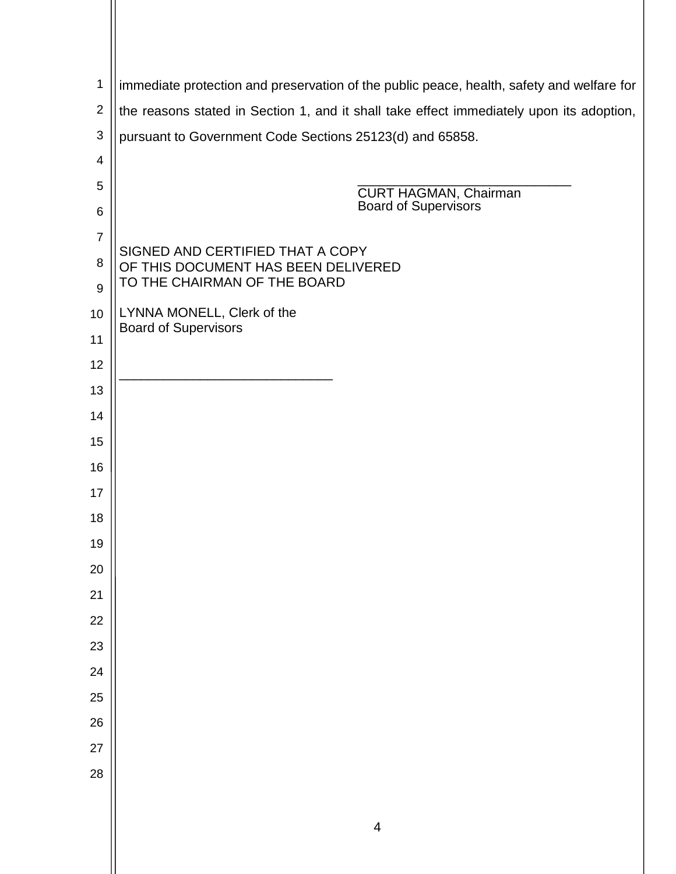| 1                                                                                 | immediate protection and preservation of the public peace, health, safety and welfare for |
|-----------------------------------------------------------------------------------|-------------------------------------------------------------------------------------------|
| $\overline{2}$                                                                    | the reasons stated in Section 1, and it shall take effect immediately upon its adoption,  |
| $\sqrt{3}$                                                                        | pursuant to Government Code Sections 25123(d) and 65858.                                  |
| 4                                                                                 |                                                                                           |
| 5                                                                                 | <b>CURT HAGMAN, Chairman</b>                                                              |
| 6                                                                                 | <b>Board of Supervisors</b>                                                               |
| $\overline{7}$                                                                    | SIGNED AND CERTIFIED THAT A COPY                                                          |
| 8<br>OF THIS DOCUMENT HAS BEEN DELIVERED<br>TO THE CHAIRMAN OF THE BOARD<br>$9\,$ |                                                                                           |
| 10                                                                                | LYNNA MONELL, Clerk of the                                                                |
| <b>Board of Supervisors</b><br>11                                                 |                                                                                           |
| 12                                                                                |                                                                                           |
| 13                                                                                |                                                                                           |
| 14                                                                                |                                                                                           |
| 15                                                                                |                                                                                           |
| 16                                                                                |                                                                                           |
| 17                                                                                |                                                                                           |
| 18                                                                                |                                                                                           |
| 19                                                                                |                                                                                           |
| 20                                                                                |                                                                                           |
| 21                                                                                |                                                                                           |
| 22                                                                                |                                                                                           |
| 23                                                                                |                                                                                           |
| 24                                                                                |                                                                                           |
| 25                                                                                |                                                                                           |
| 26                                                                                |                                                                                           |
| 27                                                                                |                                                                                           |
| 28                                                                                |                                                                                           |
|                                                                                   |                                                                                           |